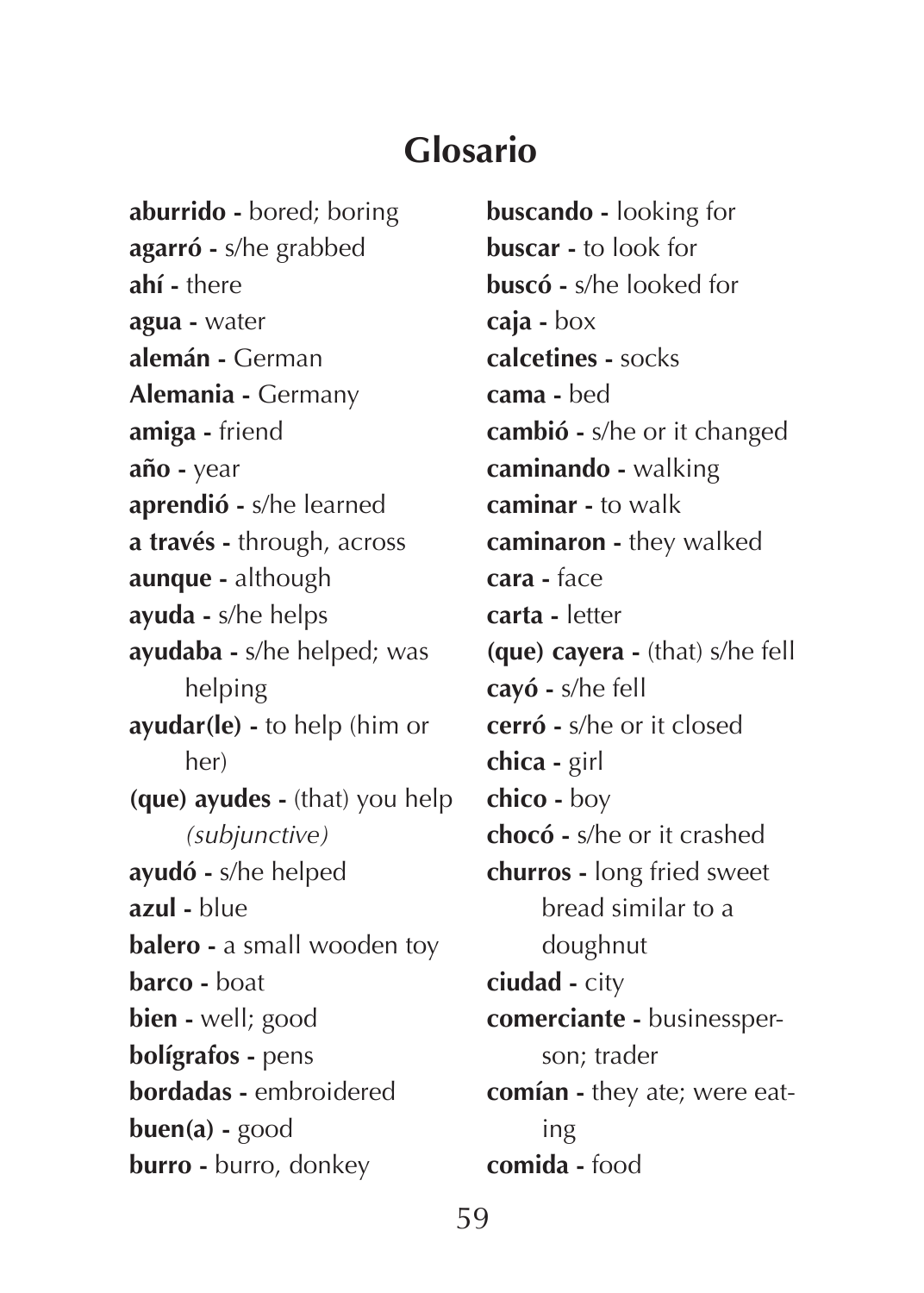**aburrido -** bored; boring **agarró -** s/he grabbed **ahí -** there **agua -** water **alemán -** German **Alemania -** Germany **amiga -** friend **año -** year **aprendió -** s/he learned **a través -** through, across **aunque -** although **ayuda -** s/he helps **ayudaba -** s/he helped; was helping **ayudar(le) -** to help (him or her) **(que) ayudes -** (that) you help *(subjunctive)* **ayudó -** s/he helped **azul -** blue **balero -** a small wooden toy **barco -** boat **bien -** well; good **bolígrafos -** pens **bordadas -** embroidered **buen(a) -** good **burro -** burro, donkey

**buscando -** looking for **buscar -** to look for **buscó -** s/he looked for **caja -** box **calcetines -** socks **cama -** bed **cambió -** s/he or it changed **caminando -** walking **caminar -** to walk **caminaron -** they walked **cara -** face **carta -** letter **(que) cayera -** (that) s/he fell **cayó -** s/he fell **cerró -** s/he or it closed **chica -** girl **chico -** boy **chocó -** s/he or it crashed **churros -** long fried sweet bread similar to a doughnut **ciudad -** city **comerciante -** businessperson; trader **comían -** they ate; were eating **comida -** food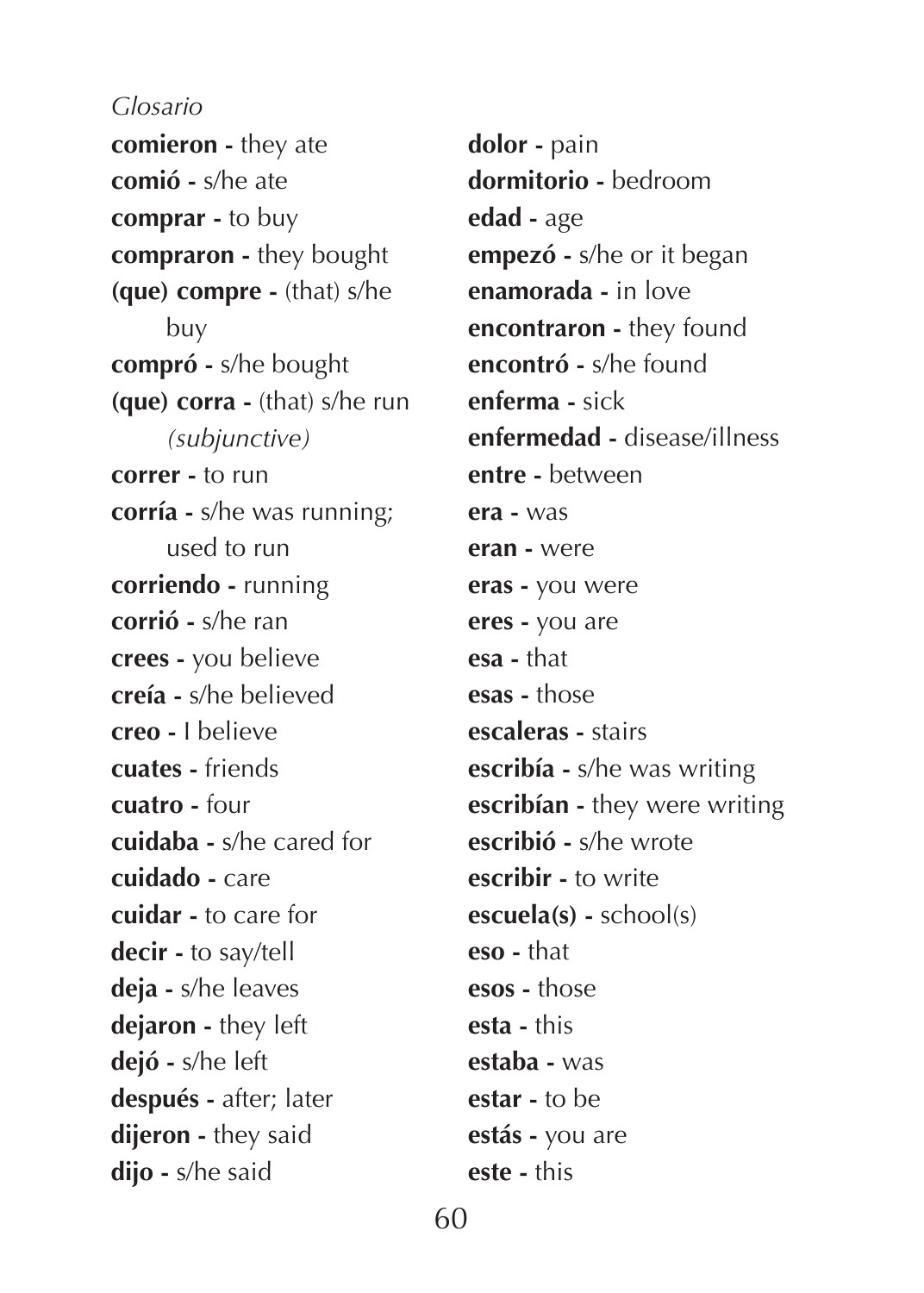**comieron -** they ate **comió -** s/he ate **comprar -** to buy **compraron -** they bought **(que) compre -** (that) s/he buy **compró -** s/he bought **(que) corra -** (that) s/he run *(subjunctive)* **correr -** to run **corría -** s/he was running; used to run **corriendo -** running **corrió -** s/he ran **crees -** you believe **creía -** s/he believed **creo -** I believe **cuates -** friends **cuatro -** four **cuidaba -** s/he cared for **cuidado -** care **cuidar -** to care for **decir -** to say/tell **deja -** s/he leaves **dejaron -** they left **dejó -** s/he left **después -** after; later **dijeron -** they said **dijo -** s/he said

**dolor -** pain **dormitorio -** bedroom **edad -** age **empezó -** s/he or it began **enamorada -** in love **encontraron -** they found **encontró -** s/he found **enferma -** sick **enfermedad -** disease/illness **entre -** between **era -** was **eran -** were **eras -** you were **eres -** you are **esa -** that **esas -** those **escaleras -** stairs **escribía -** s/he was writing **escribían -** they were writing **escribió -** s/he wrote **escribir -** to write **escuela(s) -** school(s) **eso -** that **esos -** those **esta -** this **estaba -** was **estar -** to be **estás -** you are **este -** this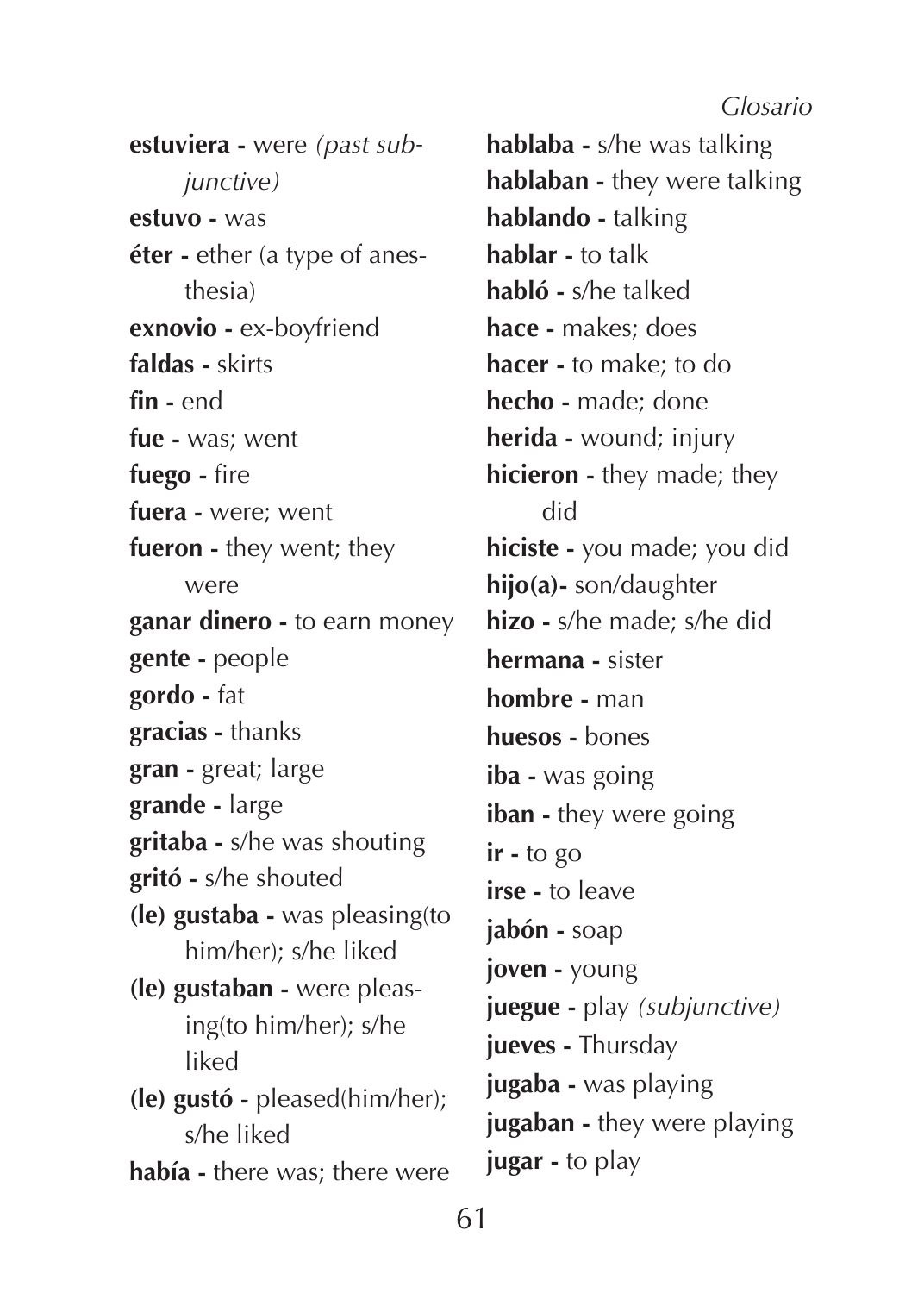**estuviera -** were *(past subjunctive)* **estuvo -** was **éter -** ether (a type of anesthesia) **exnovio -** ex-boyfriend **faldas -** skirts **fin -** end **fue -** was; went **fuego -** fire **fuera -** were; went **fueron -** they went; they were **ganar dinero -** to earn money **gente -** people **gordo -** fat **gracias -** thanks **gran -** great; large **grande -** large **gritaba -** s/he was shouting **gritó -** s/he shouted **(le) gustaba -** was pleasing(to him/her); s/he liked **(le) gustaban -** were pleasing(to him/her); s/he liked **(le) gustó -** pleased(him/her); s/he liked **había -** there was; there were

**hablaba -** s/he was talking **hablaban -** they were talking **hablando -** talking **hablar -** to talk **habló -** s/he talked **hace -** makes; does **hacer -** to make; to do **hecho -** made; done **herida -** wound; injury **hicieron -** they made; they did **hiciste -** you made; you did **hijo(a)-** son/daughter **hizo -** s/he made; s/he did **hermana -** sister **hombre -** man **huesos -** bones **iba -** was going **iban -** they were going **ir -** to go **irse -** to leave **jabón -** soap **joven -** young **juegue -** play *(subjunctive)* **jueves -** Thursday **jugaba -** was playing **jugaban -** they were playing **jugar -** to play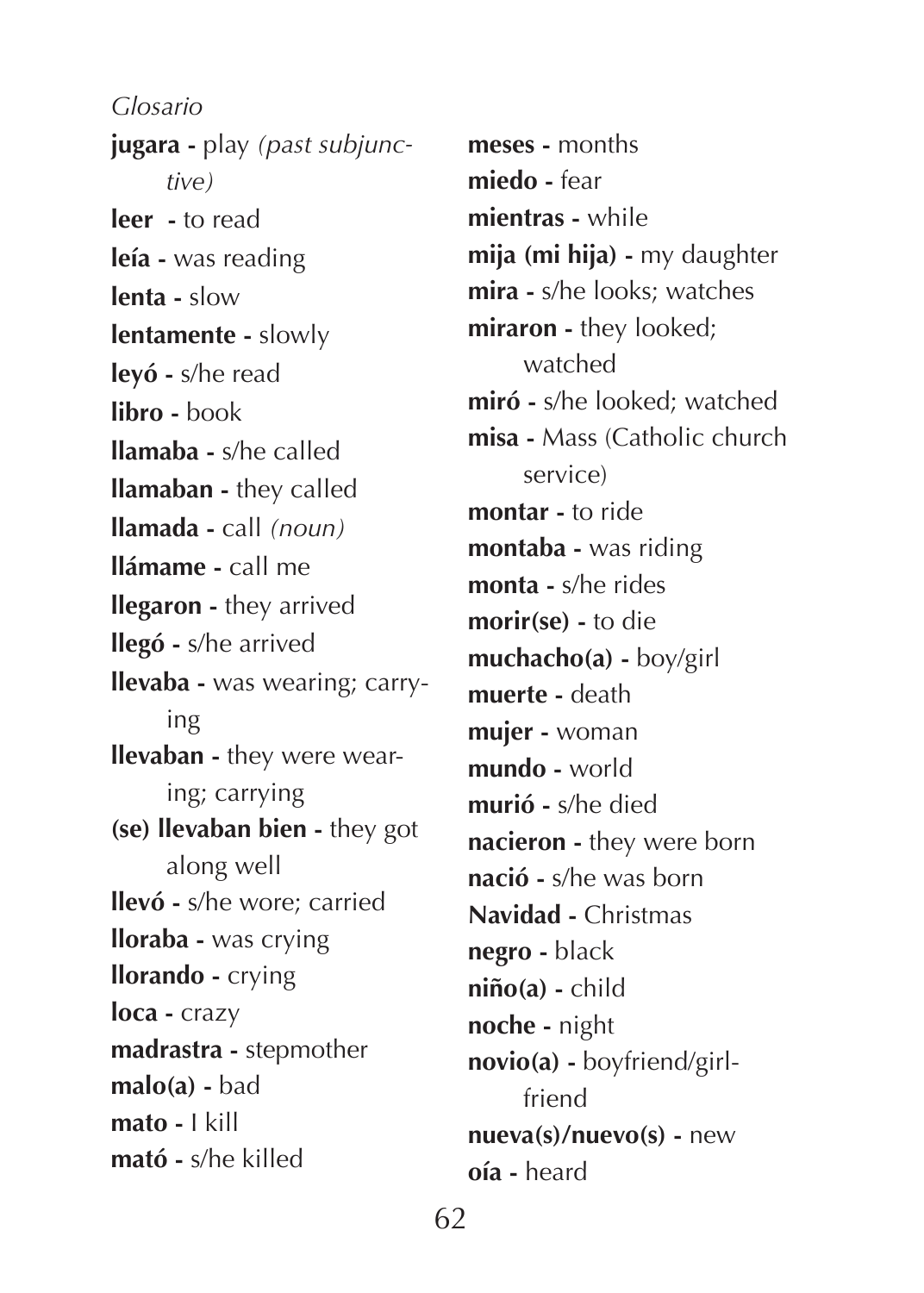**jugara -** play *(past subjunctive)* **leer -** to read **leía -** was reading **lenta -** slow **lentamente -** slowly **leyó -** s/he read **libro -** book **llamaba -** s/he called **llamaban -** they called **llamada -** call *(noun)* **llámame -** call me **llegaron -** they arrived **llegó -** s/he arrived **llevaba -** was wearing; carrying **llevaban -** they were wearing; carrying **(se) llevaban bien -** they got along well **llevó -** s/he wore; carried **lloraba -** was crying **llorando -** crying **loca -** crazy **madrastra -** stepmother **malo(a) -** bad **mato -** I kill **mató -** s/he killed *Glosario*

**meses -** months **miedo -** fear **mientras -** while **mija (mi hija) -** my daughter **mira -** s/he looks; watches **miraron -** they looked; watched **miró -** s/he looked; watched **misa -** Mass (Catholic church service) **montar -** to ride **montaba -** was riding **monta -** s/he rides **morir(se) -** to die **muchacho(a) -** boy/girl **muerte -** death **mujer -** woman **mundo -** world **murió -** s/he died **nacieron -** they were born **nació -** s/he was born **Navidad -** Christmas **negro -** black **niño(a) -** child **noche -** night **novio(a) -** boyfriend/girlfriend **nueva(s)/nuevo(s) -** new **oía -** heard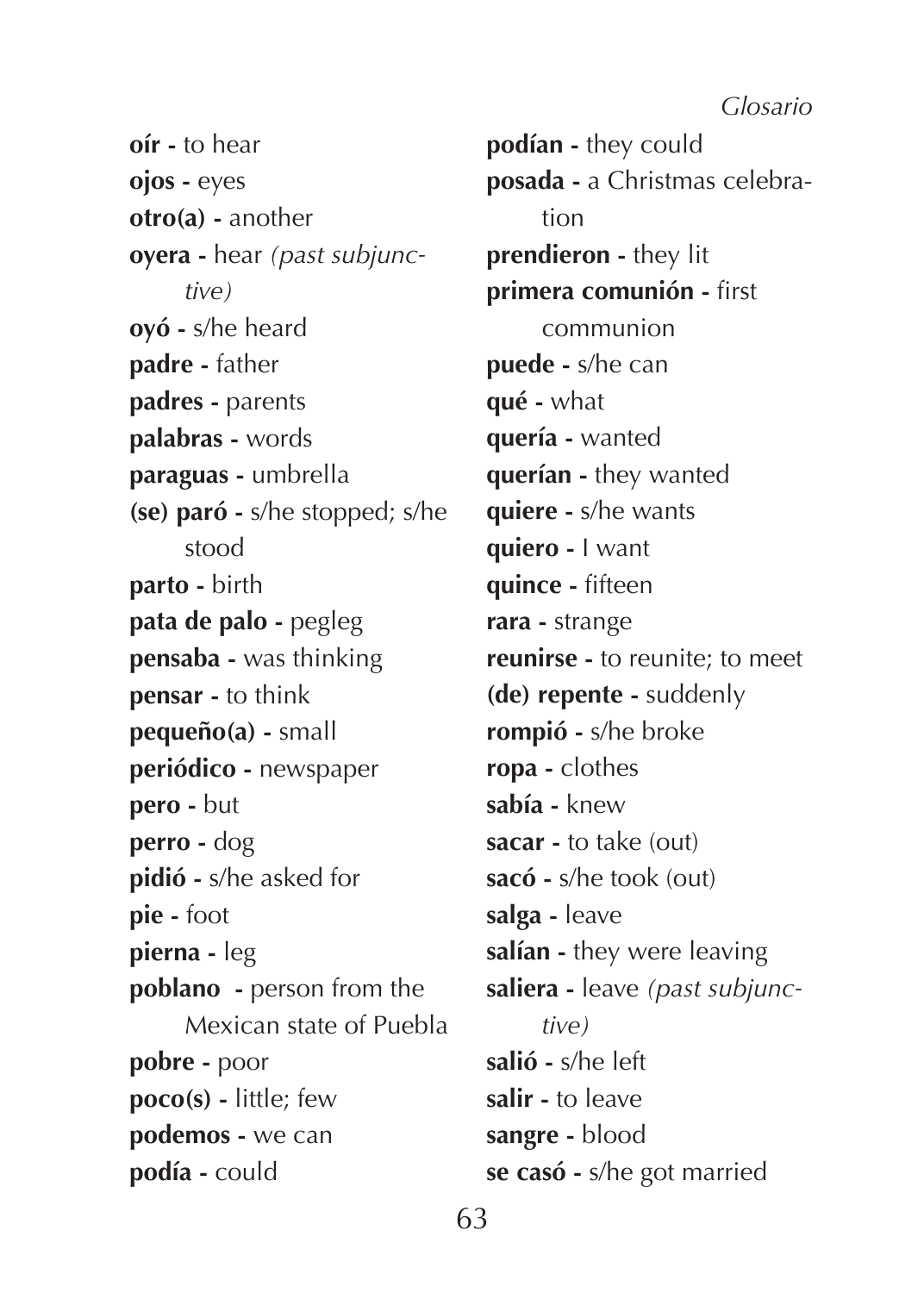**oír -** to hear **ojos -** eyes **otro(a) -** another **oyera -** hear *(past subjunctive)* **oyó -** s/he heard **padre -** father **padres -** parents **palabras -** words **paraguas -** umbrella **(se) paró -** s/he stopped; s/he stood **parto -** birth **pata de palo -** pegleg **pensaba -** was thinking **pensar -** to think **pequeño(a) -** small **periódico -** newspaper **pero -** but **perro -** dog **pidió -** s/he asked for **pie -** foot **pierna -** leg **poblano -** person from the Mexican state of Puebla **pobre -** poor **poco(s) -** little; few **podemos -** we can **podía -** could

**podían -** they could **posada -** a Christmas celebration **prendieron -** they lit **primera comunión -** first communion **puede -** s/he can **qué -** what **quería -** wanted **querían -** they wanted **quiere -** s/he wants **quiero -** I want **quince -** fifteen **rara -** strange **reunirse -** to reunite; to meet **(de) repente -** suddenly **rompió -** s/he broke **ropa -** clothes **sabía -** knew **sacar -** to take (out) **sacó -** s/he took (out) **salga -** leave **salían -** they were leaving **saliera -** leave *(past subjunctive)* **salió -** s/he left **salir -** to leave **sangre -** blood **se casó -** s/he got married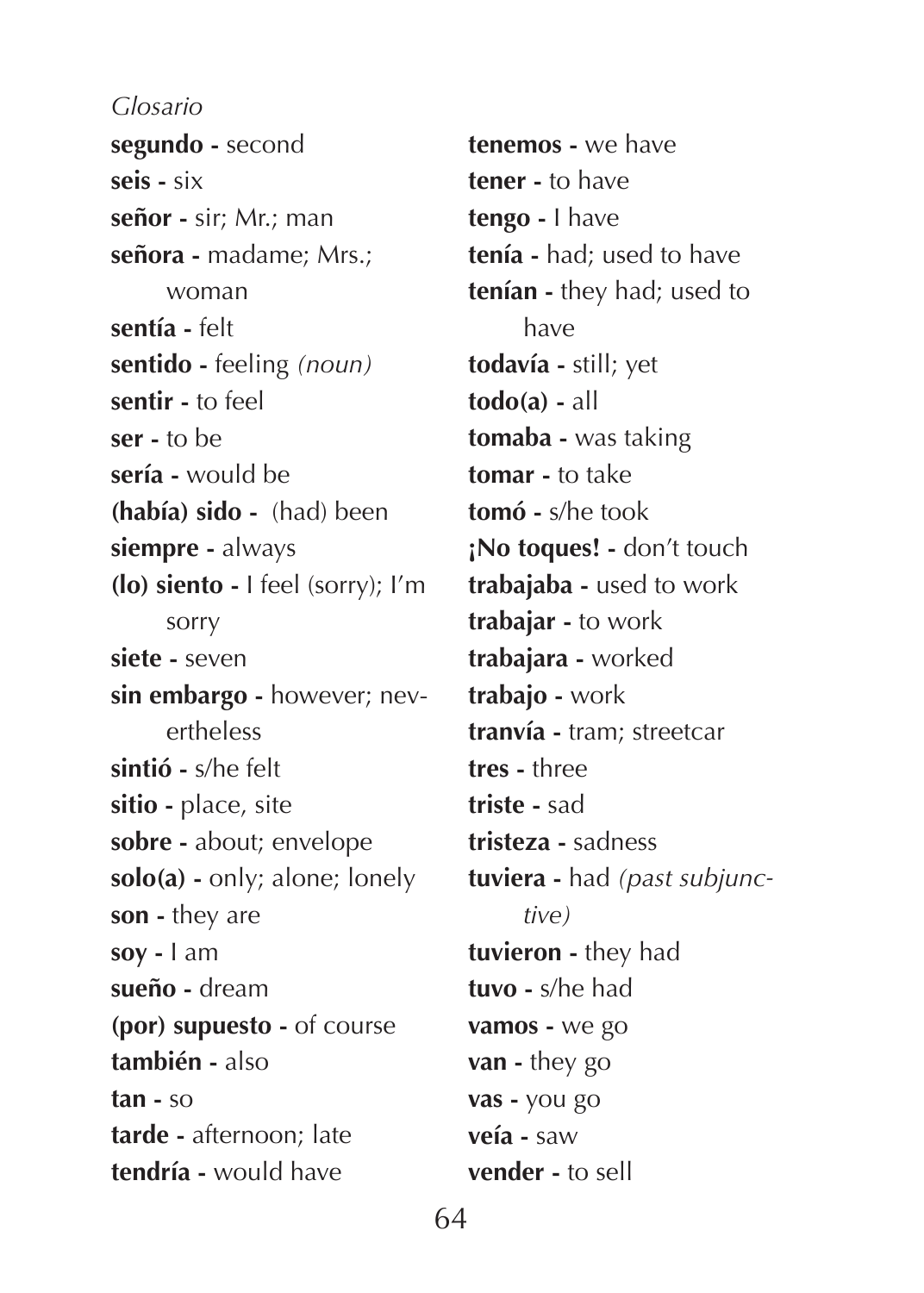**segundo -** second **seis -** six **señor -** sir; Mr.; man **señora -** madame; Mrs.; woman **sentía -** felt **sentido -** feeling *(noun)* **sentir -** to feel **ser -** to be **sería -** would be **(había) sido -** (had) been **siempre -** always **(lo) siento -** I feel (sorry); I'm sorry **siete -** seven **sin embargo -** however; nevertheless **sintió -** s/he felt **sitio -** place, site **sobre -** about; envelope **solo(a) -** only; alone; lonely **son -** they are **soy -** I am **sueño -** dream **(por) supuesto -** of course **también -** also **tan -** so **tarde -** afternoon; late **tendría -** would have *Glosario*

**tenemos -** we have **tener -** to have **tengo -** I have **tenía -** had; used to have **tenían -** they had; used to have **todavía -** still; yet **todo(a) -** all **tomaba -** was taking **tomar -** to take **tomó -** s/he took **¡No toques! -** don't touch **trabajaba -** used to work **trabajar -** to work **trabajara -** worked **trabajo -** work **tranvía -** tram; streetcar **tres -** three **triste -** sad **tristeza -** sadness **tuviera -** had *(past subjunctive)* **tuvieron -** they had **tuvo -** s/he had **vamos -** we go **van -** they go **vas -** you go **veía -** saw **vender -** to sell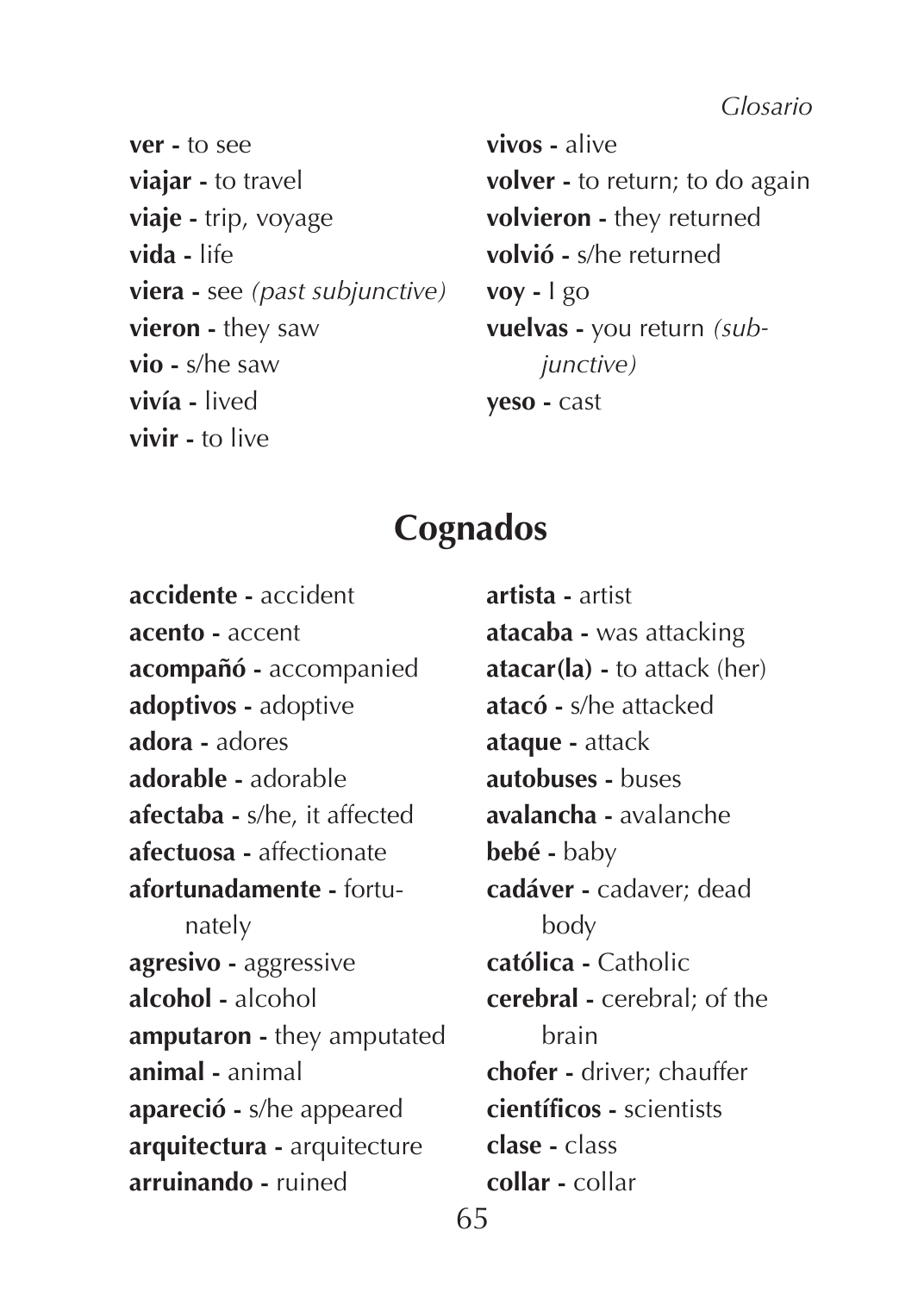**ver -** to see **viajar -** to travel **viaje -** trip, voyage **vida -** life **viera -** see *(past subjunctive)* **vieron -** they saw **vio -** s/he saw **vivía -** lived **vivir -** to live

**vivos -** alive **volver -** to return; to do again **volvieron -** they returned **volvió -** s/he returned **voy -** I go **vuelvas -** you return *(subjunctive)* **yeso -** cast

## **Cognados**

**accidente -** accident **acento -** accent **acompañó -** accompanied **adoptivos -** adoptive **adora -** adores **adorable -** adorable **afectaba -** s/he, it affected **afectuosa -** affectionate **afortunadamente -** fortunately **agresivo -** aggressive **alcohol -** alcohol **amputaron -** they amputated **animal -** animal **apareció -** s/he appeared **arquitectura -** arquitecture **arruinando -** ruined

**artista -** artist **atacaba -** was attacking **atacar(la) -** to attack (her) **atacó -** s/he attacked **ataque -** attack **autobuses -** buses **avalancha -** avalanche **bebé -** baby **cadáver -** cadaver; dead body **católica -** Catholic **cerebral -** cerebral; of the brain **chofer -** driver; chauffer **científicos -** scientists **clase -** class **collar -** collar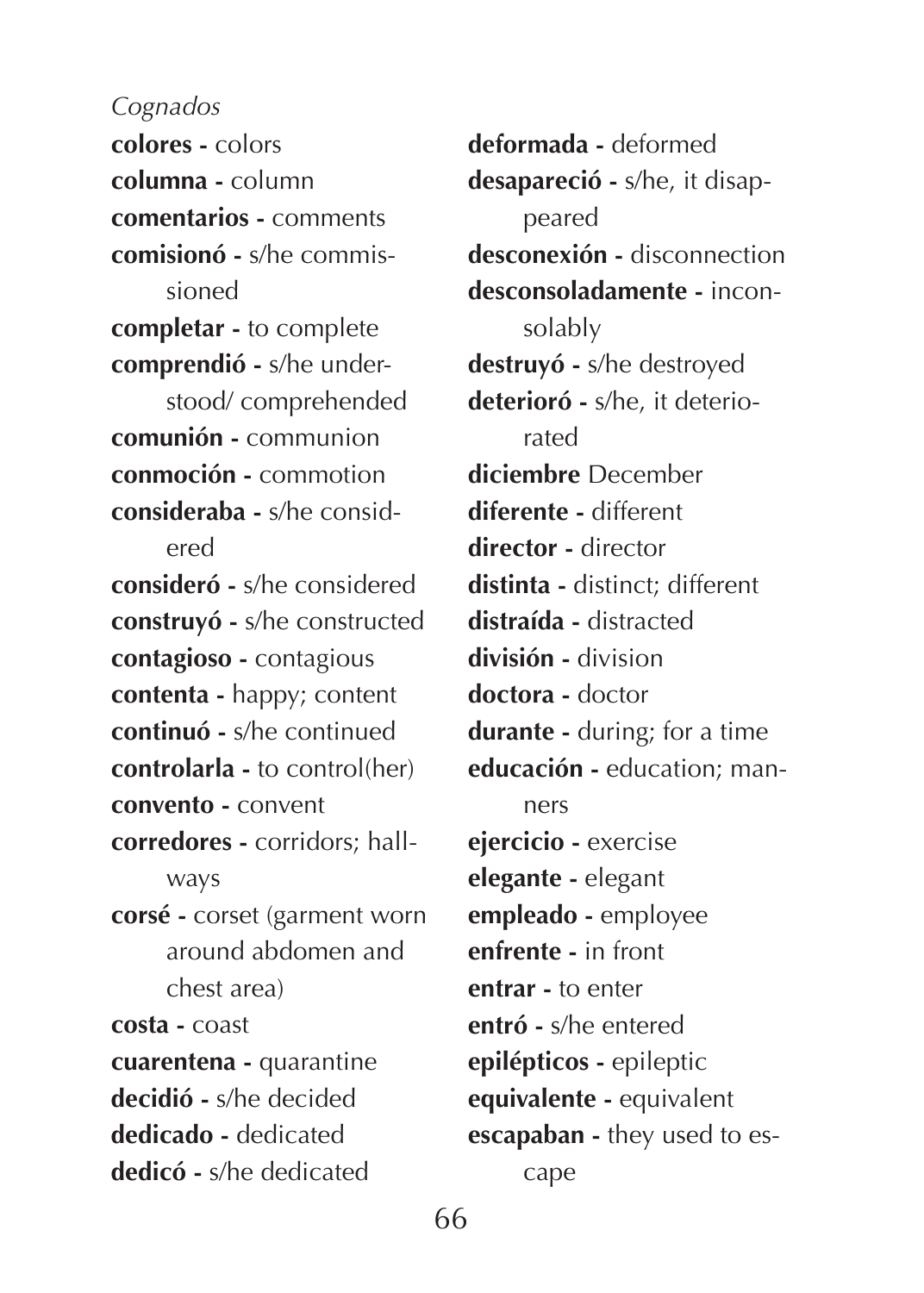**colores -** colors **columna -** column **comentarios -** comments **comisionó -** s/he commissioned **completar -** to complete **comprendió -** s/he understood/ comprehended **comunión -** communion **conmoción -** commotion **consideraba -** s/he considered **consideró -** s/he considered **construyó -** s/he constructed **contagioso -** contagious **contenta -** happy; content **continuó -** s/he continued **controlarla -** to control(her) **convento -** convent **corredores -** corridors; hallways **corsé -** corset (garment worn around abdomen and chest area) **costa -** coast **cuarentena -** quarantine **decidió -** s/he decided **dedicado -** dedicated **dedicó -** s/he dedicated

**deformada -** deformed **desapareció -** s/he, it disappeared **desconexión -** disconnection **desconsoladamente -** inconsolably **destruyó -** s/he destroyed **deterioró -** s/he, it deteriorated **diciembre** December **diferente -** different **director -** director **distinta -** distinct; different **distraída -** distracted **división -** division **doctora -** doctor **durante -** during; for a time **educación -** education; manners **ejercicio -** exercise **elegante -** elegant **empleado -** employee **enfrente -** in front **entrar -** to enter **entró -** s/he entered **epilépticos -** epileptic **equivalente -** equivalent **escapaban -** they used to escape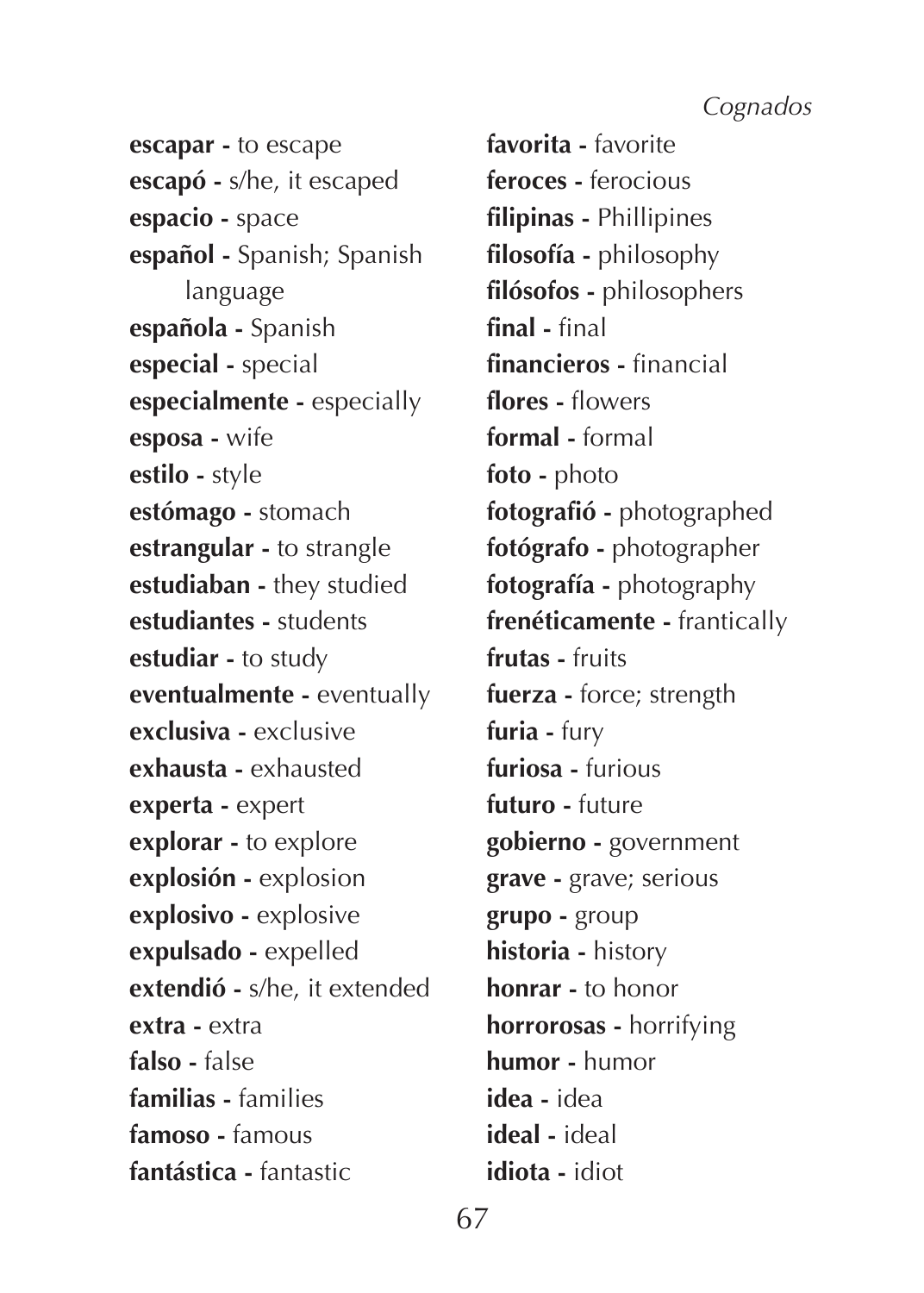**escapar -** to escape **escapó -** s/he, it escaped **espacio -** space **español -** Spanish; Spanish language **española -** Spanish **especial -** special **especialmente -** especially **esposa -** wife **estilo -** style **estómago -** stomach **estrangular -** to strangle **estudiaban -** they studied **estudiantes -** students **estudiar -** to study **eventualmente -** eventually **exclusiva -** exclusive **exhausta -** exhausted **experta -** expert **explorar -** to explore **explosión -** explosion **explosivo -** explosive **expulsado -** expelled **extendió -** s/he, it extended **extra -** extra **falso -** false **familias -** families **famoso -** famous **fantástica -** fantastic

**favorita -** favorite **feroces -** ferocious **filipinas -** Phillipines **filosofía -** philosophy **filósofos -** philosophers **final -** final **financieros -** financial **flores -** flowers **formal -** formal **foto -** photo **fotografió -** photographed **fotógrafo -** photographer **fotografía -** photography **frenéticamente -** frantically **frutas -** fruits **fuerza -** force; strength **furia -** fury **furiosa -** furious **futuro -** future **gobierno -** government **grave -** grave; serious **grupo -** group **historia -** history **honrar -** to honor **horrorosas -** horrifying **humor -** humor **idea -** idea **ideal -** ideal **idiota -** idiot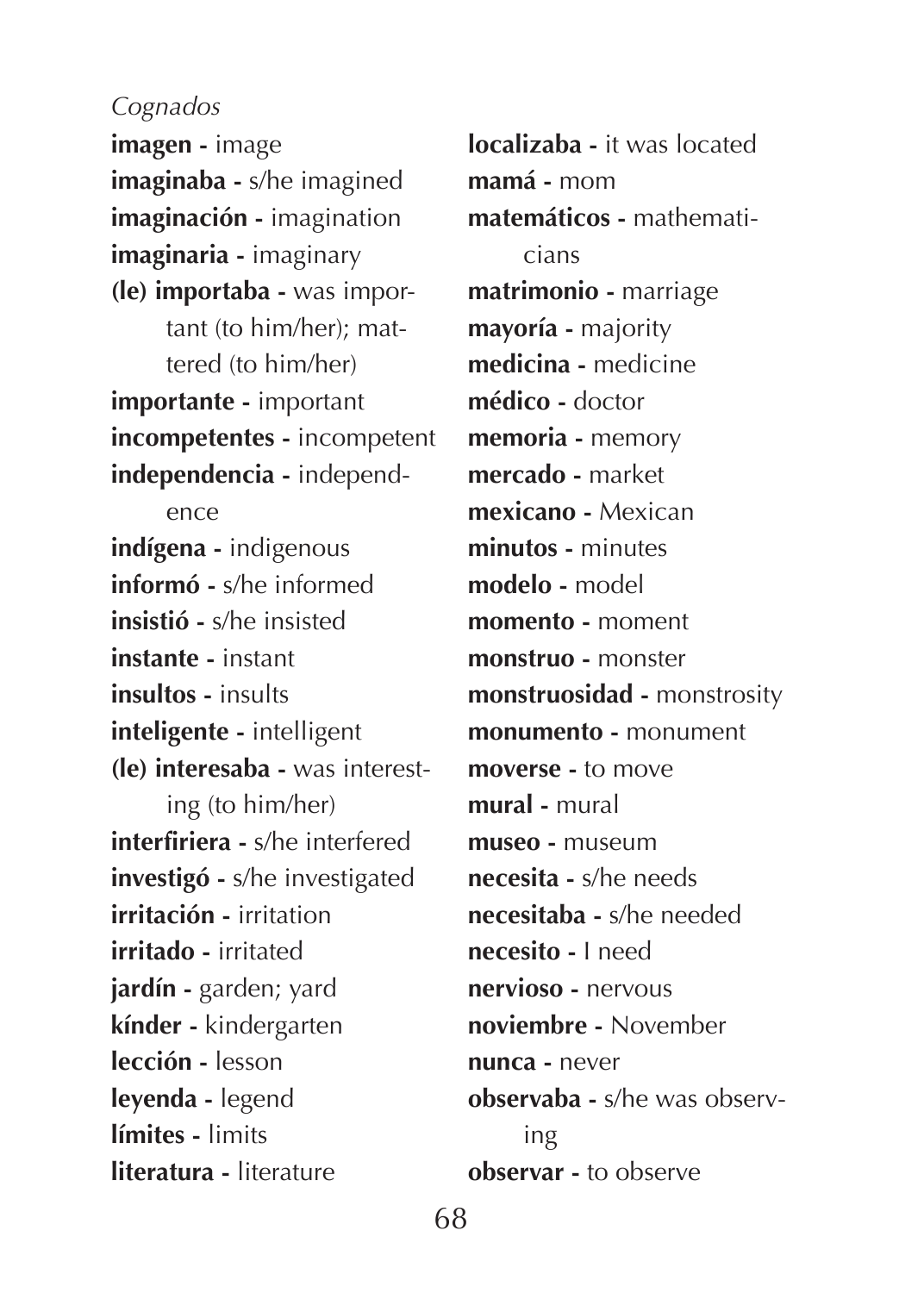**imagen -** image **imaginaba -** s/he imagined **imaginación -** imagination **imaginaria -** imaginary **(le) importaba -** was important (to him/her); mattered (to him/her) **importante -** important **incompetentes -** incompetent **independencia -** independence **indígena -** indigenous **informó -** s/he informed **insistió -** s/he insisted **instante -** instant **insultos -** insults **inteligente -** intelligent **(le) interesaba -** was interesting (to him/her) **interfiriera -** s/he interfered **investigó -** s/he investigated **irritación -** irritation **irritado -** irritated **jardín -** garden; yard **kínder -** kindergarten **lección -** lesson **leyenda -** legend **límites -** limits **literatura -** literature

**localizaba -** it was located **mamá -** mom **matemáticos -** mathematicians **matrimonio -** marriage **mayoría -** majority **medicina -** medicine **médico -** doctor **memoria -** memory **mercado -** market **mexicano -** Mexican **minutos -** minutes **modelo -** model **momento -** moment **monstruo -** monster **monstruosidad -** monstrosity **monumento -** monument **moverse -** to move **mural -** mural **museo -** museum **necesita -** s/he needs **necesitaba -** s/he needed **necesito -** I need **nervioso -** nervous **noviembre -** November **nunca -** never **observaba -** s/he was observing **observar -** to observe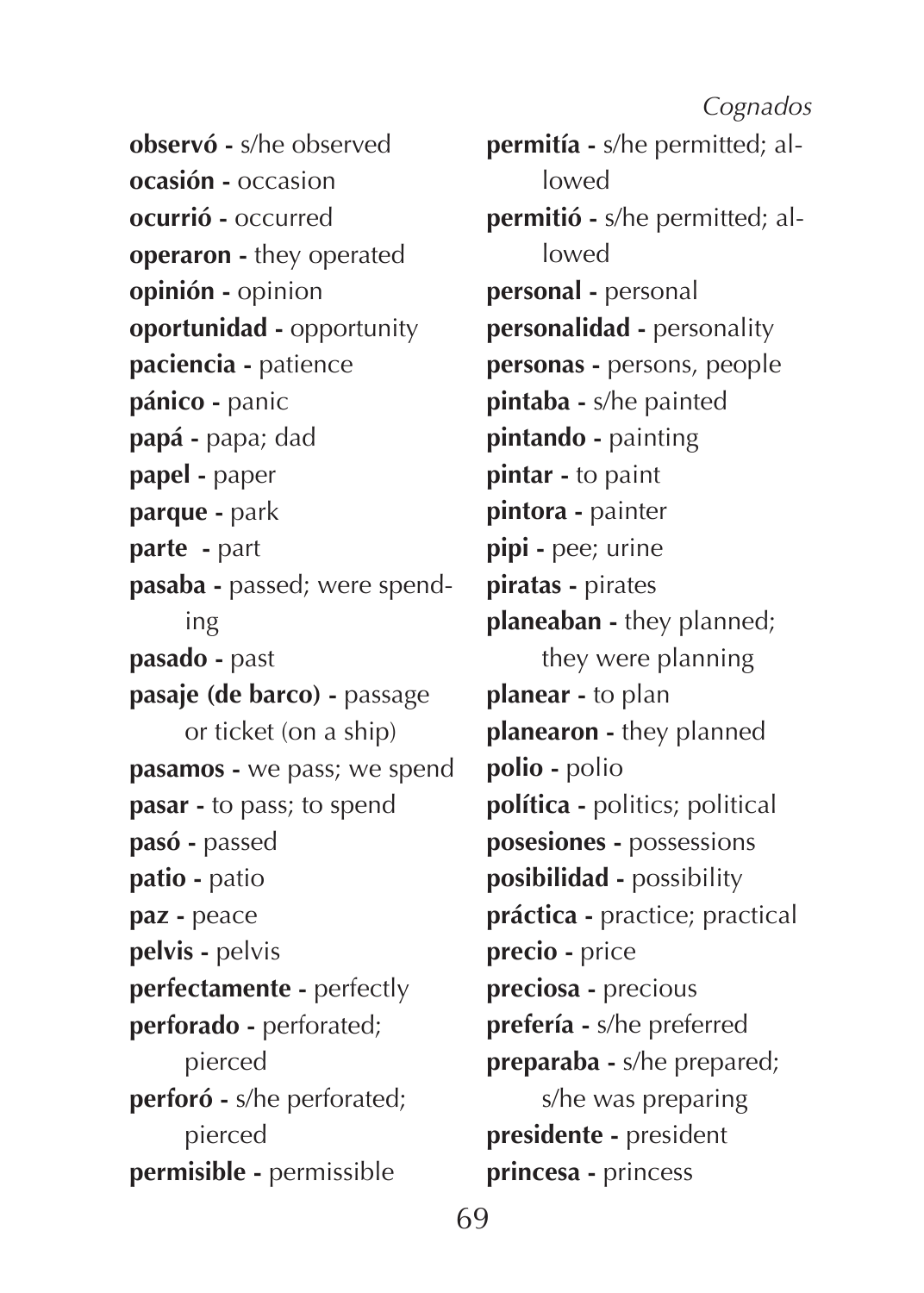**observó -** s/he observed **ocasión -** occasion **ocurrió -** occurred **operaron -** they operated **opinión -** opinion **oportunidad -** opportunity **paciencia -** patience **pánico -** panic **papá -** papa; dad **papel -** paper **parque -** park **parte -** part **pasaba -** passed; were spending **pasado -** past **pasaje (de barco) -** passage or ticket (on a ship) **pasamos -** we pass; we spend **pasar -** to pass; to spend **pasó -** passed **patio -** patio **paz -** peace **pelvis -** pelvis **perfectamente -** perfectly **perforado -** perforated; pierced **perforó -** s/he perforated; pierced **permisible -** permissible

**permitía -** s/he permitted; allowed **permitió -** s/he permitted; allowed **personal -** personal **personalidad -** personality **personas -** persons, people **pintaba -** s/he painted **pintando -** painting **pintar -** to paint **pintora -** painter **pipi -** pee; urine **piratas -** pirates **planeaban -** they planned; they were planning **planear -** to plan **planearon -** they planned **polio -** polio **política -** politics; political **posesiones -** possessions **posibilidad -** possibility **práctica -** practice; practical **precio -** price **preciosa -** precious **prefería -** s/he preferred **preparaba -** s/he prepared; s/he was preparing **presidente -** president **princesa -** princess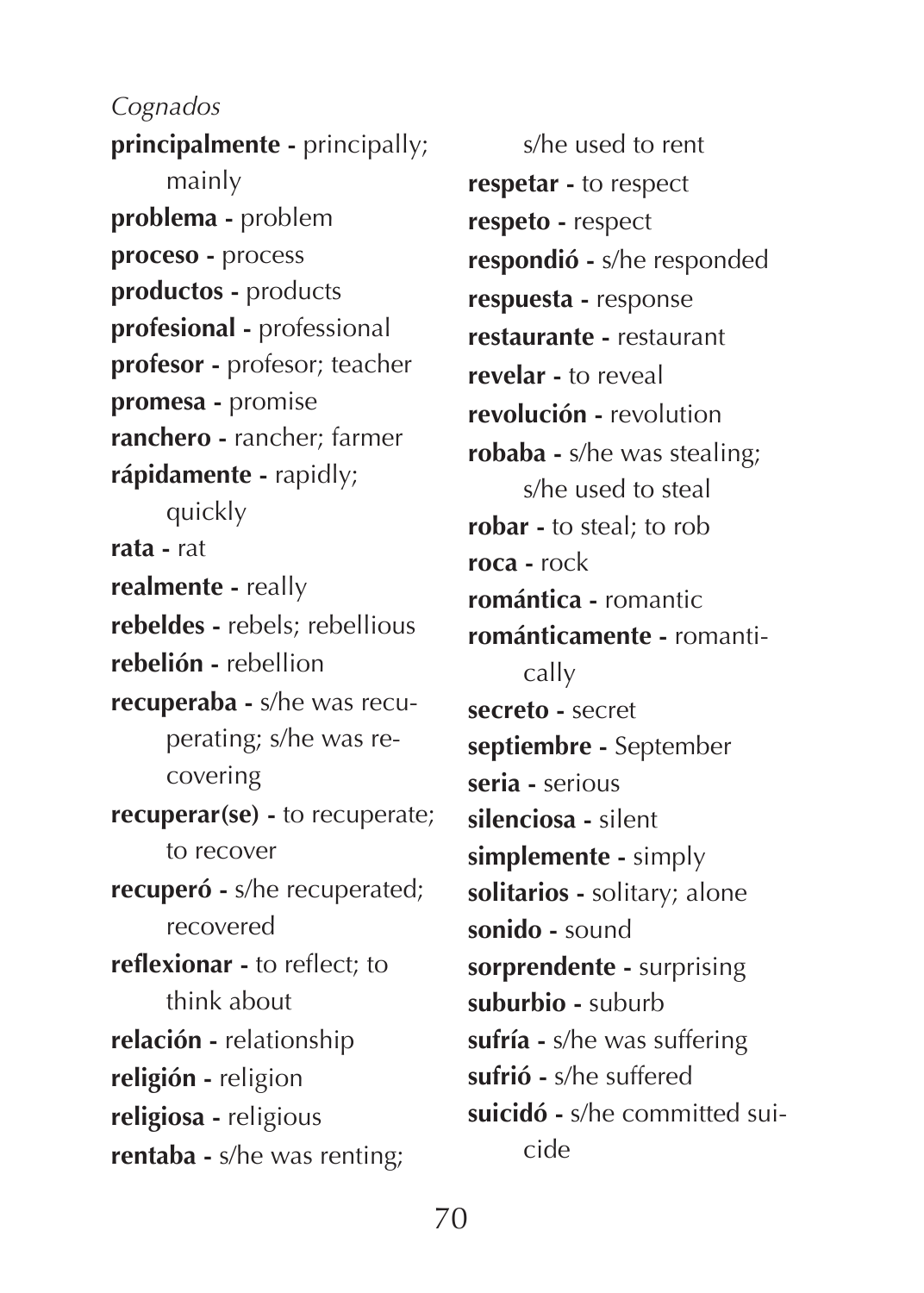**principalmente -** principally; mainly **problema -** problem **proceso -** process **productos -** products **profesional -** professional **profesor -** profesor; teacher **promesa -** promise **ranchero -** rancher; farmer **rápidamente -** rapidly; quickly **rata -** rat **realmente -** really **rebeldes -** rebels; rebellious **rebelión -** rebellion **recuperaba -** s/he was recuperating; s/he was recovering **recuperar(se) -** to recuperate; to recover **recuperó -** s/he recuperated; recovered **reflexionar -** to reflect; to think about **relación -** relationship **religión -** religion **religiosa -** religious **rentaba -** s/he was renting;

s/he used to rent **respetar -** to respect **respeto -** respect **respondió -** s/he responded **respuesta -** response **restaurante -** restaurant **revelar -** to reveal **revolución -** revolution **robaba -** s/he was stealing; s/he used to steal **robar -** to steal; to rob **roca -** rock **romántica -** romantic **románticamente -** romantically **secreto -** secret **septiembre -** September **seria -** serious **silenciosa -** silent **simplemente -** simply **solitarios -** solitary; alone **sonido -** sound **sorprendente -** surprising **suburbio -** suburb **sufría -** s/he was suffering **sufrió -** s/he suffered **suicidó -** s/he committed suicide